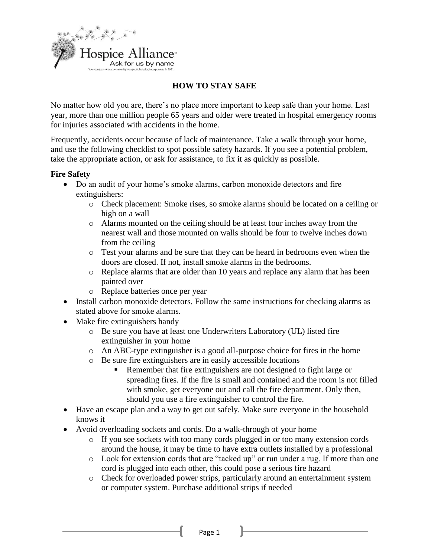

# **HOW TO STAY SAFE**

No matter how old you are, there's no place more important to keep safe than your home. Last year, more than one million people 65 years and older were treated in hospital emergency rooms for injuries associated with accidents in the home.

Frequently, accidents occur because of lack of maintenance. Take a walk through your home, and use the following checklist to spot possible safety hazards. If you see a potential problem, take the appropriate action, or ask for assistance, to fix it as quickly as possible.

#### **Fire Safety**

- Do an audit of your home's smoke alarms, carbon monoxide detectors and fire extinguishers:
	- o Check placement: Smoke rises, so smoke alarms should be located on a ceiling or high on a wall
	- o Alarms mounted on the ceiling should be at least four inches away from the nearest wall and those mounted on walls should be four to twelve inches down from the ceiling
	- o Test your alarms and be sure that they can be heard in bedrooms even when the doors are closed. If not, install smoke alarms in the bedrooms.
	- o Replace alarms that are older than 10 years and replace any alarm that has been painted over
	- o Replace batteries once per year
- Install carbon monoxide detectors. Follow the same instructions for checking alarms as stated above for smoke alarms.
- Make fire extinguishers handy
	- o Be sure you have at least one Underwriters Laboratory (UL) listed fire extinguisher in your home
	- o An ABC-type extinguisher is a good all-purpose choice for fires in the home
	- o Be sure fire extinguishers are in easily accessible locations
		- Remember that fire extinguishers are not designed to fight large or spreading fires. If the fire is small and contained and the room is not filled with smoke, get everyone out and call the fire department. Only then, should you use a fire extinguisher to control the fire.
- Have an escape plan and a way to get out safely. Make sure everyone in the household knows it
- Avoid overloading sockets and cords. Do a walk-through of your home
	- o If you see sockets with too many cords plugged in or too many extension cords around the house, it may be time to have extra outlets installed by a professional
	- o Look for extension cords that are "tacked up" or run under a rug. If more than one cord is plugged into each other, this could pose a serious fire hazard
	- o Check for overloaded power strips, particularly around an entertainment system or computer system. Purchase additional strips if needed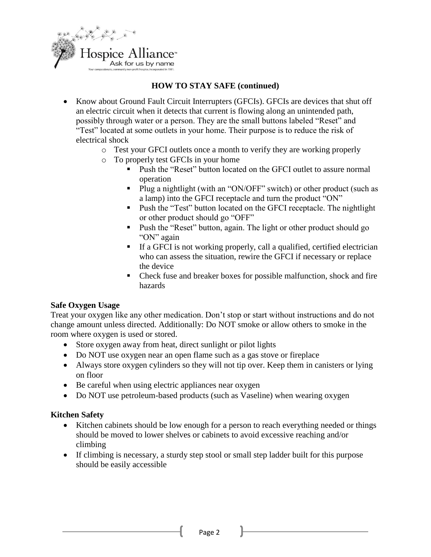

## **HOW TO STAY SAFE (continued)**

- Know about Ground Fault Circuit Interrupters (GFCIs). GFCIs are devices that shut off an electric circuit when it detects that current is flowing along an unintended path, possibly through water or a person. They are the small buttons labeled "Reset" and "Test" located at some outlets in your home. Their purpose is to reduce the risk of electrical shock
	- o Test your GFCI outlets once a month to verify they are working properly
	- o To properly test GFCIs in your home
		- Push the "Reset" button located on the GFCI outlet to assure normal operation
		- Plug a nightlight (with an "ON/OFF" switch) or other product (such as a lamp) into the GFCI receptacle and turn the product "ON"
		- Push the "Test" button located on the GFCI receptacle. The nightlight or other product should go "OFF"
		- Push the "Reset" button, again. The light or other product should go "ON" again
		- If a GFCI is not working properly, call a qualified, certified electrician who can assess the situation, rewire the GFCI if necessary or replace the device
		- Check fuse and breaker boxes for possible malfunction, shock and fire hazards

#### **Safe Oxygen Usage**

Treat your oxygen like any other medication. Don't stop or start without instructions and do not change amount unless directed. Additionally: Do NOT smoke or allow others to smoke in the room where oxygen is used or stored.

- Store oxygen away from heat, direct sunlight or pilot lights
- Do NOT use oxygen near an open flame such as a gas stove or fireplace
- Always store oxygen cylinders so they will not tip over. Keep them in canisters or lying on floor
- Be careful when using electric appliances near oxygen
- Do NOT use petroleum-based products (such as Vaseline) when wearing oxygen

### **Kitchen Safety**

- Kitchen cabinets should be low enough for a person to reach everything needed or things should be moved to lower shelves or cabinets to avoid excessive reaching and/or climbing
- If climbing is necessary, a sturdy step stool or small step ladder built for this purpose should be easily accessible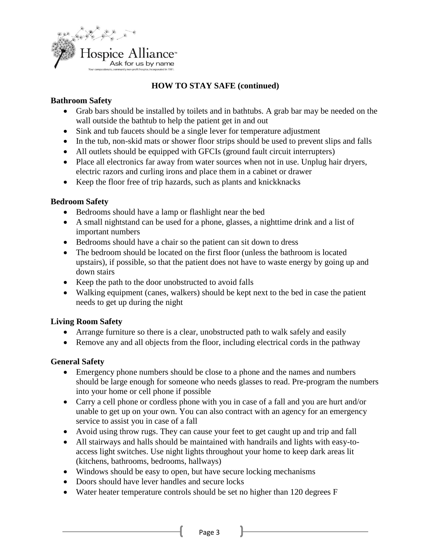

# **HOW TO STAY SAFE (continued)**

### **Bathroom Safety**

- Grab bars should be installed by toilets and in bathtubs. A grab bar may be needed on the wall outside the bathtub to help the patient get in and out
- Sink and tub faucets should be a single lever for temperature adjustment
- In the tub, non-skid mats or shower floor strips should be used to prevent slips and falls
- All outlets should be equipped with GFCIs (ground fault circuit interrupters)
- Place all electronics far away from water sources when not in use. Unplug hair dryers, electric razors and curling irons and place them in a cabinet or drawer
- Keep the floor free of trip hazards, such as plants and knickknacks

### **Bedroom Safety**

- Bedrooms should have a lamp or flashlight near the bed
- A small nightstand can be used for a phone, glasses, a nighttime drink and a list of important numbers
- Bedrooms should have a chair so the patient can sit down to dress
- The bedroom should be located on the first floor (unless the bathroom is located upstairs), if possible, so that the patient does not have to waste energy by going up and down stairs
- Keep the path to the door unobstructed to avoid falls
- Walking equipment (canes, walkers) should be kept next to the bed in case the patient needs to get up during the night

### **Living Room Safety**

- Arrange furniture so there is a clear, unobstructed path to walk safely and easily
- Remove any and all objects from the floor, including electrical cords in the pathway

### **General Safety**

- Emergency phone numbers should be close to a phone and the names and numbers should be large enough for someone who needs glasses to read. Pre-program the numbers into your home or cell phone if possible
- Carry a cell phone or cordless phone with you in case of a fall and you are hurt and/or unable to get up on your own. You can also contract with an agency for an emergency service to assist you in case of a fall
- Avoid using throw rugs. They can cause your feet to get caught up and trip and fall
- All stairways and halls should be maintained with handrails and lights with easy-toaccess light switches. Use night lights throughout your home to keep dark areas lit (kitchens, bathrooms, bedrooms, hallways)
- Windows should be easy to open, but have secure locking mechanisms
- Doors should have lever handles and secure locks
- Water heater temperature controls should be set no higher than 120 degrees F